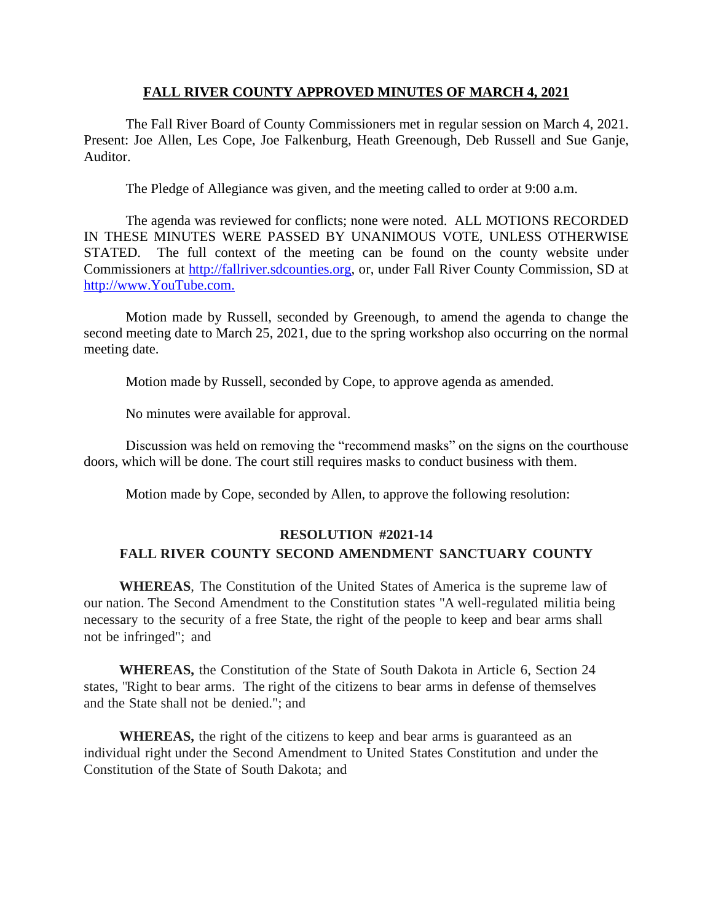## **FALL RIVER COUNTY APPROVED MINUTES OF MARCH 4, 2021**

The Fall River Board of County Commissioners met in regular session on March 4, 2021. Present: Joe Allen, Les Cope, Joe Falkenburg, Heath Greenough, Deb Russell and Sue Ganje, Auditor.

The Pledge of Allegiance was given, and the meeting called to order at 9:00 a.m.

The agenda was reviewed for conflicts; none were noted. ALL MOTIONS RECORDED IN THESE MINUTES WERE PASSED BY UNANIMOUS VOTE, UNLESS OTHERWISE STATED. The full context of the meeting can be found on the county website under Commissioners at [http://fallriver.sdcounties.org,](http://fallriver.sdcounties.org/) or, under Fall River County Commission, SD at [http://www.YouTube.com.](http://www.youtube.com/)

Motion made by Russell, seconded by Greenough, to amend the agenda to change the second meeting date to March 25, 2021, due to the spring workshop also occurring on the normal meeting date.

Motion made by Russell, seconded by Cope, to approve agenda as amended.

No minutes were available for approval.

Discussion was held on removing the "recommend masks" on the signs on the courthouse doors, which will be done. The court still requires masks to conduct business with them.

Motion made by Cope, seconded by Allen, to approve the following resolution:

## **RESOLUTION #2021-14 FALL RIVER COUNTY SECOND AMENDMENT SANCTUARY COUNTY**

**WHEREAS**, The Constitution of the United States of America is the supreme law of our nation. The Second Amendment to the Constitution states "A well-regulated militia being necessary to the security of a free State, the right of the people to keep and bear arms shall not be infringed"; and

**WHEREAS,** the Constitution of the State of South Dakota in Article 6, Section 24 states, "Right to bear arms. The right of the citizens to bear arms in defense of themselves and the State shall not be denied."; and

**WHEREAS,** the right of the citizens to keep and bear arms is guaranteed as an individual right under the Second Amendment to United States Constitution and under the Constitution of the State of South Dakota; and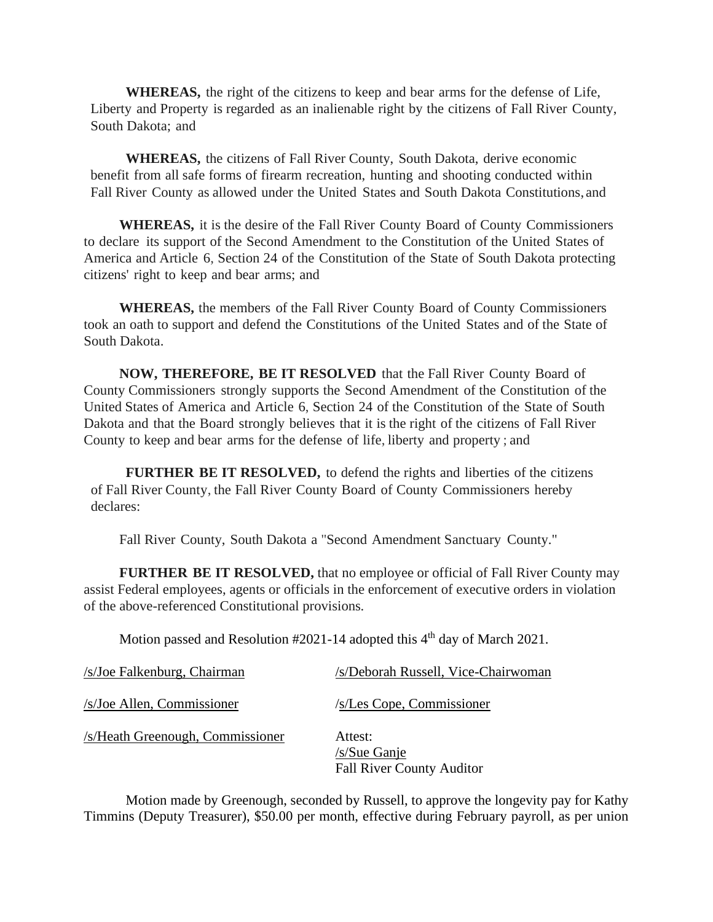**WHEREAS,** the right of the citizens to keep and bear arms for the defense of Life, Liberty and Property is regarded as an inalienable right by the citizens of Fall River County, South Dakota; and

**WHEREAS,** the citizens of Fall River County, South Dakota, derive economic benefit from all safe forms of firearm recreation, hunting and shooting conducted within Fall River County as allowed under the United States and South Dakota Constitutions, and

**WHEREAS,** it is the desire of the Fall River County Board of County Commissioners to declare its support of the Second Amendment to the Constitution of the United States of America and Article 6, Section 24 of the Constitution of the State of South Dakota protecting citizens' right to keep and bear arms; and

**WHEREAS,** the members of the Fall River County Board of County Commissioners took an oath to support and defend the Constitutions of the United States and of the State of South Dakota.

**NOW, THEREFORE, BE IT RESOLVED** that the Fall River County Board of County Commissioners strongly supports the Second Amendment of the Constitution of the United States of America and Article 6, Section 24 of the Constitution of the State of South Dakota and that the Board strongly believes that it is the right of the citizens of Fall River County to keep and bear arms for the defense of life, liberty and property ; and

**FURTHER BE IT RESOLVED,** to defend the rights and liberties of the citizens of Fall River County, the Fall River County Board of County Commissioners hereby declares:

Fall River County, South Dakota a "Second Amendment Sanctuary County."

**FURTHER BE IT RESOLVED,** that no employee or official of Fall River County may assist Federal employees, agents or officials in the enforcement of executive orders in violation of the above-referenced Constitutional provisions.

Motion passed and Resolution #2021-14 adopted this 4<sup>th</sup> day of March 2021.

| /s/Joe Falkenburg, Chairman      | /s/Deborah Russell, Vice-Chairwoman                         |
|----------------------------------|-------------------------------------------------------------|
| /s/Joe Allen, Commissioner       | /s/Les Cope, Commissioner                                   |
| /s/Heath Greenough, Commissioner | Attest:<br>/s/Sue Ganje<br><b>Fall River County Auditor</b> |

Motion made by Greenough, seconded by Russell, to approve the longevity pay for Kathy Timmins (Deputy Treasurer), \$50.00 per month, effective during February payroll, as per union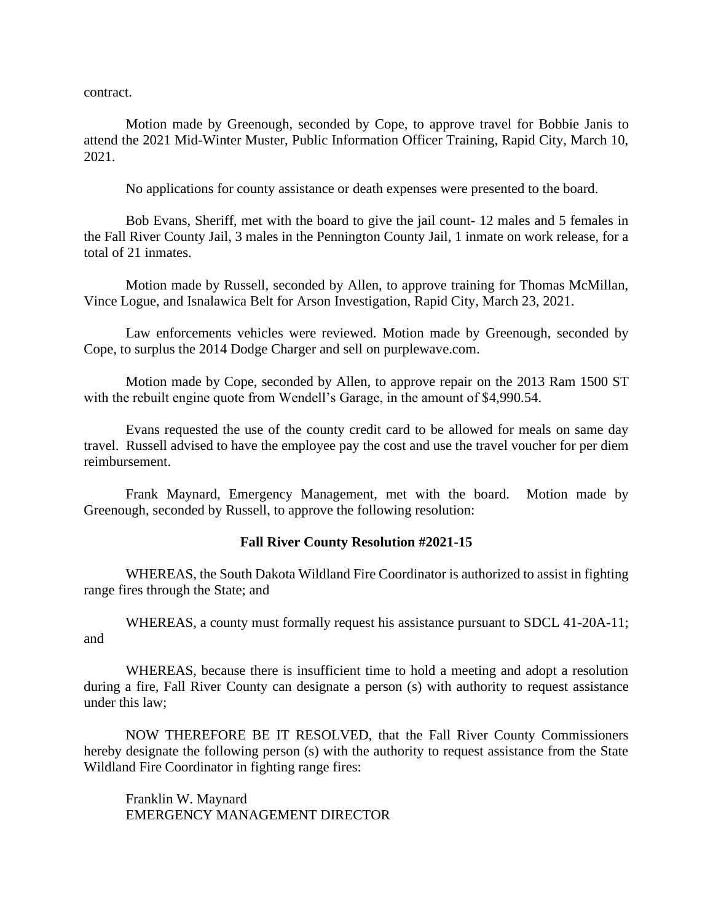contract.

Motion made by Greenough, seconded by Cope, to approve travel for Bobbie Janis to attend the 2021 Mid-Winter Muster, Public Information Officer Training, Rapid City, March 10, 2021.

No applications for county assistance or death expenses were presented to the board.

Bob Evans, Sheriff, met with the board to give the jail count- 12 males and 5 females in the Fall River County Jail, 3 males in the Pennington County Jail, 1 inmate on work release, for a total of 21 inmates.

Motion made by Russell, seconded by Allen, to approve training for Thomas McMillan, Vince Logue, and Isnalawica Belt for Arson Investigation, Rapid City, March 23, 2021.

Law enforcements vehicles were reviewed. Motion made by Greenough, seconded by Cope, to surplus the 2014 Dodge Charger and sell on purplewave.com.

Motion made by Cope, seconded by Allen, to approve repair on the 2013 Ram 1500 ST with the rebuilt engine quote from Wendell's Garage, in the amount of \$4,990.54.

Evans requested the use of the county credit card to be allowed for meals on same day travel. Russell advised to have the employee pay the cost and use the travel voucher for per diem reimbursement.

Frank Maynard, Emergency Management, met with the board. Motion made by Greenough, seconded by Russell, to approve the following resolution:

## **Fall River County Resolution #2021-15**

WHEREAS, the South Dakota Wildland Fire Coordinator is authorized to assist in fighting range fires through the State; and

WHEREAS, a county must formally request his assistance pursuant to SDCL 41-20A-11; and

WHEREAS, because there is insufficient time to hold a meeting and adopt a resolution during a fire, Fall River County can designate a person (s) with authority to request assistance under this law;

NOW THEREFORE BE IT RESOLVED, that the Fall River County Commissioners hereby designate the following person (s) with the authority to request assistance from the State Wildland Fire Coordinator in fighting range fires:

Franklin W. Maynard EMERGENCY MANAGEMENT DIRECTOR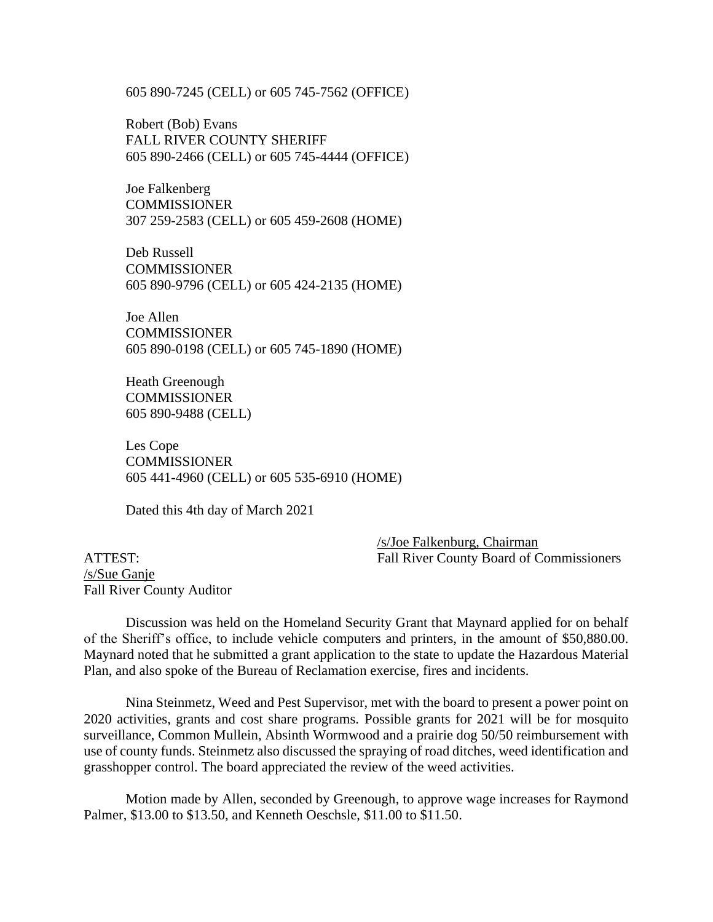605 890-7245 (CELL) or 605 745-7562 (OFFICE)

Robert (Bob) Evans FALL RIVER COUNTY SHERIFF 605 890-2466 (CELL) or 605 745-4444 (OFFICE)

Joe Falkenberg COMMISSIONER 307 259-2583 (CELL) or 605 459-2608 (HOME)

Deb Russell **COMMISSIONER** 605 890-9796 (CELL) or 605 424-2135 (HOME)

Joe Allen **COMMISSIONER** 605 890-0198 (CELL) or 605 745-1890 (HOME)

Heath Greenough COMMISSIONER 605 890-9488 (CELL)

Les Cope COMMISSIONER 605 441-4960 (CELL) or 605 535-6910 (HOME)

Dated this 4th day of March 2021

/s/Joe Falkenburg, Chairman ATTEST: Fall River County Board of Commissioners

/s/Sue Ganje Fall River County Auditor

Discussion was held on the Homeland Security Grant that Maynard applied for on behalf of the Sheriff's office, to include vehicle computers and printers, in the amount of \$50,880.00. Maynard noted that he submitted a grant application to the state to update the Hazardous Material Plan, and also spoke of the Bureau of Reclamation exercise, fires and incidents.

Nina Steinmetz, Weed and Pest Supervisor, met with the board to present a power point on 2020 activities, grants and cost share programs. Possible grants for 2021 will be for mosquito surveillance, Common Mullein, Absinth Wormwood and a prairie dog 50/50 reimbursement with use of county funds. Steinmetz also discussed the spraying of road ditches, weed identification and grasshopper control. The board appreciated the review of the weed activities.

Motion made by Allen, seconded by Greenough, to approve wage increases for Raymond Palmer, \$13.00 to \$13.50, and Kenneth Oeschsle, \$11.00 to \$11.50.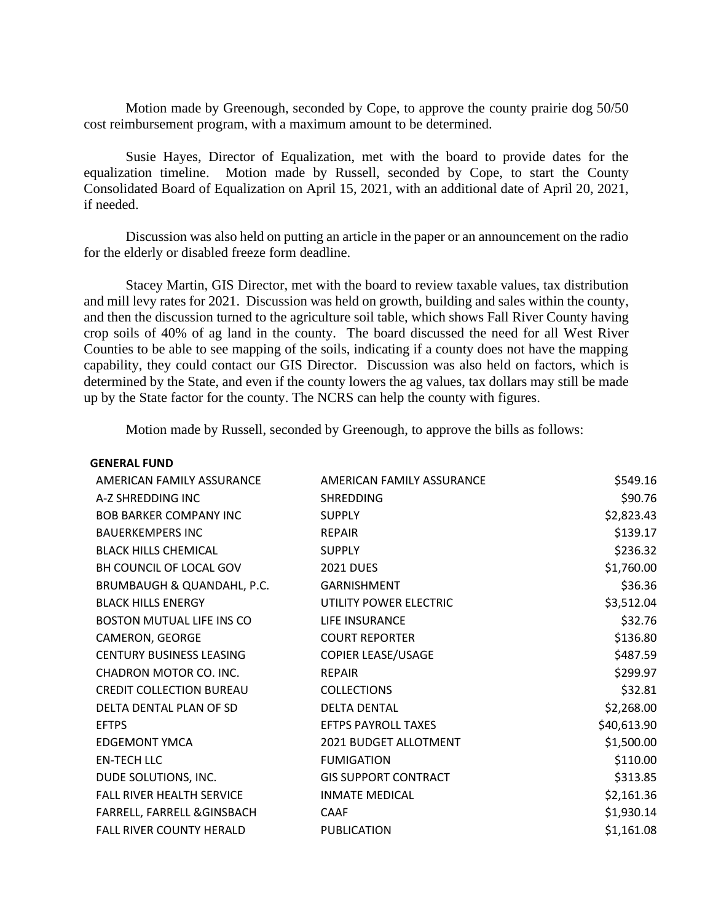Motion made by Greenough, seconded by Cope, to approve the county prairie dog 50/50 cost reimbursement program, with a maximum amount to be determined.

Susie Hayes, Director of Equalization, met with the board to provide dates for the equalization timeline. Motion made by Russell, seconded by Cope, to start the County Consolidated Board of Equalization on April 15, 2021, with an additional date of April 20, 2021, if needed.

Discussion was also held on putting an article in the paper or an announcement on the radio for the elderly or disabled freeze form deadline.

Stacey Martin, GIS Director, met with the board to review taxable values, tax distribution and mill levy rates for 2021. Discussion was held on growth, building and sales within the county, and then the discussion turned to the agriculture soil table, which shows Fall River County having crop soils of 40% of ag land in the county. The board discussed the need for all West River Counties to be able to see mapping of the soils, indicating if a county does not have the mapping capability, they could contact our GIS Director. Discussion was also held on factors, which is determined by the State, and even if the county lowers the ag values, tax dollars may still be made up by the State factor for the county. The NCRS can help the county with figures.

Motion made by Russell, seconded by Greenough, to approve the bills as follows:

| <b>GENERAL FUND</b>              |                              |             |
|----------------------------------|------------------------------|-------------|
| AMERICAN FAMILY ASSURANCE        | AMERICAN FAMILY ASSURANCE    | \$549.16    |
| A-Z SHREDDING INC                | <b>SHREDDING</b>             | \$90.76     |
| <b>BOB BARKER COMPANY INC</b>    | <b>SUPPLY</b>                | \$2,823.43  |
| <b>BAUERKEMPERS INC</b>          | <b>REPAIR</b>                | \$139.17    |
| <b>BLACK HILLS CHEMICAL</b>      | <b>SUPPLY</b>                | \$236.32    |
| BH COUNCIL OF LOCAL GOV          | <b>2021 DUES</b>             | \$1,760.00  |
| BRUMBAUGH & QUANDAHL, P.C.       | <b>GARNISHMENT</b>           | \$36.36     |
| <b>BLACK HILLS ENERGY</b>        | UTILITY POWER ELECTRIC       | \$3,512.04  |
| <b>BOSTON MUTUAL LIFE INS CO</b> | LIFE INSURANCE               | \$32.76     |
| CAMERON, GEORGE                  | <b>COURT REPORTER</b>        | \$136.80    |
| <b>CENTURY BUSINESS LEASING</b>  | <b>COPIER LEASE/USAGE</b>    | \$487.59    |
| CHADRON MOTOR CO. INC.           | <b>REPAIR</b>                | \$299.97    |
| <b>CREDIT COLLECTION BUREAU</b>  | <b>COLLECTIONS</b>           | \$32.81     |
| DELTA DENTAL PLAN OF SD          | <b>DELTA DENTAL</b>          | \$2,268.00  |
| <b>EFTPS</b>                     | <b>EFTPS PAYROLL TAXES</b>   | \$40,613.90 |
| <b>EDGEMONT YMCA</b>             | <b>2021 BUDGET ALLOTMENT</b> | \$1,500.00  |
| <b>EN-TECH LLC</b>               | <b>FUMIGATION</b>            | \$110.00    |
| DUDE SOLUTIONS, INC.             | <b>GIS SUPPORT CONTRACT</b>  | \$313.85    |
| <b>FALL RIVER HEALTH SERVICE</b> | <b>INMATE MEDICAL</b>        | \$2,161.36  |
| FARRELL, FARRELL & GINSBACH      | CAAF                         | \$1,930.14  |
| <b>FALL RIVER COUNTY HERALD</b>  | <b>PUBLICATION</b>           | \$1,161.08  |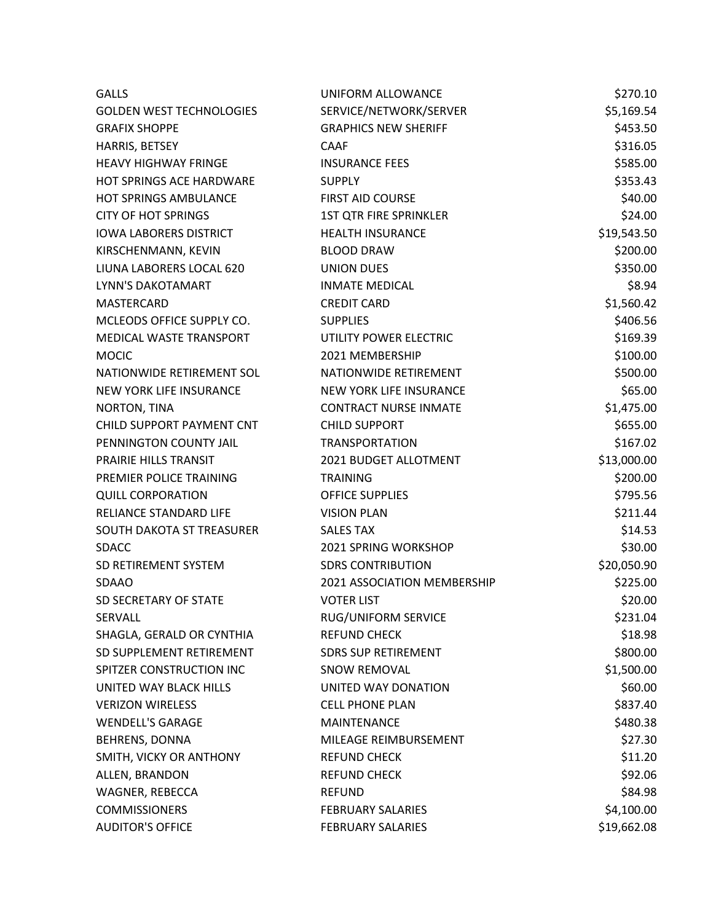| <b>GALLS</b>                    | UNIFORM ALLOWANCE              | \$270.10    |
|---------------------------------|--------------------------------|-------------|
| <b>GOLDEN WEST TECHNOLOGIES</b> | SERVICE/NETWORK/SERVER         | \$5,169.54  |
| <b>GRAFIX SHOPPE</b>            | <b>GRAPHICS NEW SHERIFF</b>    | \$453.50    |
| HARRIS, BETSEY                  | <b>CAAF</b>                    | \$316.05    |
| <b>HEAVY HIGHWAY FRINGE</b>     | <b>INSURANCE FEES</b>          | \$585.00    |
| HOT SPRINGS ACE HARDWARE        | <b>SUPPLY</b>                  | \$353.43    |
| <b>HOT SPRINGS AMBULANCE</b>    | <b>FIRST AID COURSE</b>        | \$40.00     |
| <b>CITY OF HOT SPRINGS</b>      | <b>1ST QTR FIRE SPRINKLER</b>  | \$24.00     |
| <b>IOWA LABORERS DISTRICT</b>   | <b>HEALTH INSURANCE</b>        | \$19,543.50 |
| KIRSCHENMANN, KEVIN             | <b>BLOOD DRAW</b>              | \$200.00    |
| LIUNA LABORERS LOCAL 620        | <b>UNION DUES</b>              | \$350.00    |
| LYNN'S DAKOTAMART               | <b>INMATE MEDICAL</b>          | \$8.94      |
| <b>MASTERCARD</b>               | <b>CREDIT CARD</b>             | \$1,560.42  |
| MCLEODS OFFICE SUPPLY CO.       | <b>SUPPLIES</b>                | \$406.56    |
| MEDICAL WASTE TRANSPORT         | UTILITY POWER ELECTRIC         | \$169.39    |
| <b>MOCIC</b>                    | 2021 MEMBERSHIP                | \$100.00    |
| NATIONWIDE RETIREMENT SOL       | NATIONWIDE RETIREMENT          | \$500.00    |
| <b>NEW YORK LIFE INSURANCE</b>  | <b>NEW YORK LIFE INSURANCE</b> | \$65.00     |
| NORTON, TINA                    | <b>CONTRACT NURSE INMATE</b>   | \$1,475.00  |
| CHILD SUPPORT PAYMENT CNT       | <b>CHILD SUPPORT</b>           | \$655.00    |
| PENNINGTON COUNTY JAIL          | <b>TRANSPORTATION</b>          | \$167.02    |
| PRAIRIE HILLS TRANSIT           | 2021 BUDGET ALLOTMENT          | \$13,000.00 |
| PREMIER POLICE TRAINING         | <b>TRAINING</b>                | \$200.00    |
| <b>QUILL CORPORATION</b>        | <b>OFFICE SUPPLIES</b>         | \$795.56    |
| RELIANCE STANDARD LIFE          | <b>VISION PLAN</b>             | \$211.44    |
| SOUTH DAKOTA ST TREASURER       | <b>SALES TAX</b>               | \$14.53     |
| <b>SDACC</b>                    | <b>2021 SPRING WORKSHOP</b>    | \$30.00     |
| SD RETIREMENT SYSTEM            | <b>SDRS CONTRIBUTION</b>       | \$20,050.90 |
| <b>SDAAO</b>                    | 2021 ASSOCIATION MEMBERSHIP    | \$225.00    |
| SD SECRETARY OF STATE           | <b>VOTER LIST</b>              | \$20.00     |
| <b>SERVALL</b>                  | RUG/UNIFORM SERVICE            | \$231.04    |
| SHAGLA, GERALD OR CYNTHIA       | <b>REFUND CHECK</b>            | \$18.98     |
| SD SUPPLEMENT RETIREMENT        | <b>SDRS SUP RETIREMENT</b>     | \$800.00    |
| SPITZER CONSTRUCTION INC        | <b>SNOW REMOVAL</b>            | \$1,500.00  |
| UNITED WAY BLACK HILLS          | UNITED WAY DONATION            | \$60.00     |
| <b>VERIZON WIRELESS</b>         | <b>CELL PHONE PLAN</b>         | \$837.40    |
| <b>WENDELL'S GARAGE</b>         | MAINTENANCE                    | \$480.38    |
| BEHRENS, DONNA                  | MILEAGE REIMBURSEMENT          | \$27.30     |
| SMITH, VICKY OR ANTHONY         | <b>REFUND CHECK</b>            | \$11.20     |
| ALLEN, BRANDON                  | <b>REFUND CHECK</b>            | \$92.06     |
| WAGNER, REBECCA                 | <b>REFUND</b>                  | \$84.98     |
| <b>COMMISSIONERS</b>            | <b>FEBRUARY SALARIES</b>       | \$4,100.00  |
| <b>AUDITOR'S OFFICE</b>         | <b>FEBRUARY SALARIES</b>       | \$19,662.08 |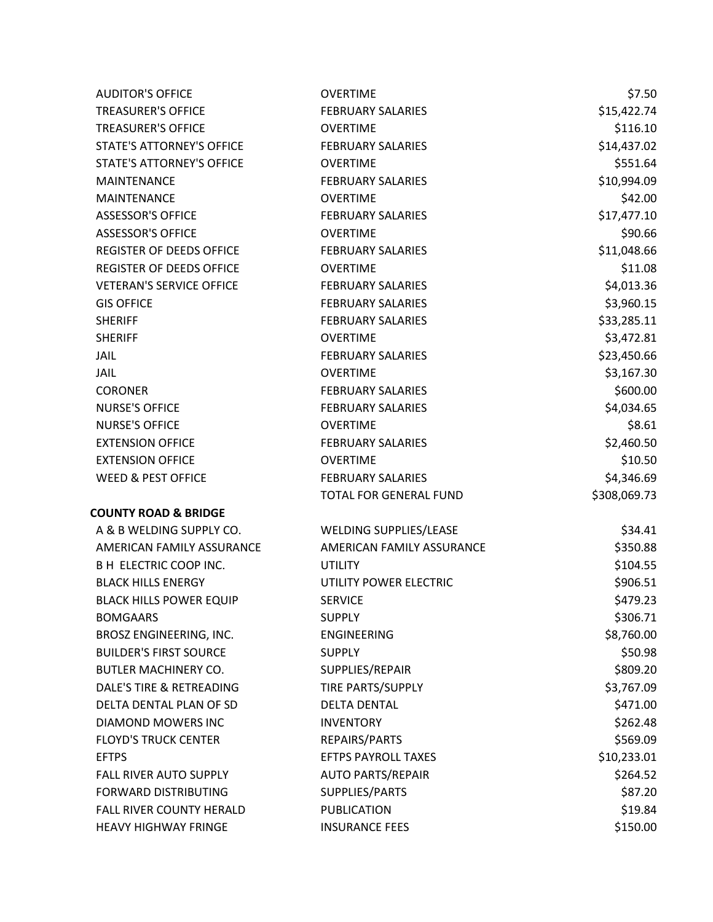| <b>AUDITOR'S OFFICE</b>          | <b>OVERTIME</b>               | \$7.50       |
|----------------------------------|-------------------------------|--------------|
| <b>TREASURER'S OFFICE</b>        | <b>FEBRUARY SALARIES</b>      | \$15,422.74  |
| <b>TREASURER'S OFFICE</b>        | <b>OVERTIME</b>               | \$116.10     |
| <b>STATE'S ATTORNEY'S OFFICE</b> | <b>FEBRUARY SALARIES</b>      | \$14,437.02  |
| STATE'S ATTORNEY'S OFFICE        | <b>OVERTIME</b>               | \$551.64     |
| <b>MAINTENANCE</b>               | <b>FEBRUARY SALARIES</b>      | \$10,994.09  |
| <b>MAINTENANCE</b>               | <b>OVERTIME</b>               | \$42.00      |
| <b>ASSESSOR'S OFFICE</b>         | <b>FEBRUARY SALARIES</b>      | \$17,477.10  |
| <b>ASSESSOR'S OFFICE</b>         | <b>OVERTIME</b>               | \$90.66      |
| REGISTER OF DEEDS OFFICE         | <b>FEBRUARY SALARIES</b>      | \$11,048.66  |
| REGISTER OF DEEDS OFFICE         | <b>OVERTIME</b>               | \$11.08      |
| <b>VETERAN'S SERVICE OFFICE</b>  | <b>FEBRUARY SALARIES</b>      | \$4,013.36   |
| <b>GIS OFFICE</b>                | <b>FEBRUARY SALARIES</b>      | \$3,960.15   |
| <b>SHERIFF</b>                   | <b>FEBRUARY SALARIES</b>      | \$33,285.11  |
| <b>SHERIFF</b>                   | <b>OVERTIME</b>               | \$3,472.81   |
| JAIL                             | <b>FEBRUARY SALARIES</b>      | \$23,450.66  |
| JAIL                             | <b>OVERTIME</b>               | \$3,167.30   |
| <b>CORONER</b>                   | <b>FEBRUARY SALARIES</b>      | \$600.00     |
| <b>NURSE'S OFFICE</b>            | <b>FEBRUARY SALARIES</b>      | \$4,034.65   |
| <b>NURSE'S OFFICE</b>            | <b>OVERTIME</b>               | \$8.61       |
| <b>EXTENSION OFFICE</b>          | <b>FEBRUARY SALARIES</b>      | \$2,460.50   |
| <b>EXTENSION OFFICE</b>          | <b>OVERTIME</b>               | \$10.50      |
| <b>WEED &amp; PEST OFFICE</b>    | <b>FEBRUARY SALARIES</b>      | \$4,346.69   |
|                                  | TOTAL FOR GENERAL FUND        | \$308,069.73 |
| <b>COUNTY ROAD &amp; BRIDGE</b>  |                               |              |
| A & B WELDING SUPPLY CO.         | <b>WELDING SUPPLIES/LEASE</b> | \$34.41      |
| AMERICAN FAMILY ASSURANCE        | AMERICAN FAMILY ASSURANCE     | \$350.88     |
| <b>B H ELECTRIC COOP INC.</b>    | <b>UTILITY</b>                | \$104.55     |
| <b>BLACK HILLS ENERGY</b>        | UTILITY POWER ELECTRIC        | \$906.51     |
| <b>BLACK HILLS POWER EQUIP</b>   | <b>SERVICE</b>                | \$479.23     |
| <b>BOMGAARS</b>                  | <b>SUPPLY</b>                 | \$306.71     |
| BROSZ ENGINEERING, INC.          | <b>ENGINEERING</b>            | \$8,760.00   |
| <b>BUILDER'S FIRST SOURCE</b>    | <b>SUPPLY</b>                 | \$50.98      |
| <b>BUTLER MACHINERY CO.</b>      | SUPPLIES/REPAIR               | \$809.20     |
| DALE'S TIRE & RETREADING         | TIRE PARTS/SUPPLY             | \$3,767.09   |
| DELTA DENTAL PLAN OF SD          | <b>DELTA DENTAL</b>           | \$471.00     |
| DIAMOND MOWERS INC               | <b>INVENTORY</b>              | \$262.48     |
| <b>FLOYD'S TRUCK CENTER</b>      | REPAIRS/PARTS                 | \$569.09     |
| <b>EFTPS</b>                     | EFTPS PAYROLL TAXES           | \$10,233.01  |
| FALL RIVER AUTO SUPPLY           | <b>AUTO PARTS/REPAIR</b>      | \$264.52     |
| <b>FORWARD DISTRIBUTING</b>      | SUPPLIES/PARTS                | \$87.20      |
| FALL RIVER COUNTY HERALD         | <b>PUBLICATION</b>            | \$19.84      |
| <b>HEAVY HIGHWAY FRINGE</b>      | <b>INSURANCE FEES</b>         | \$150.00     |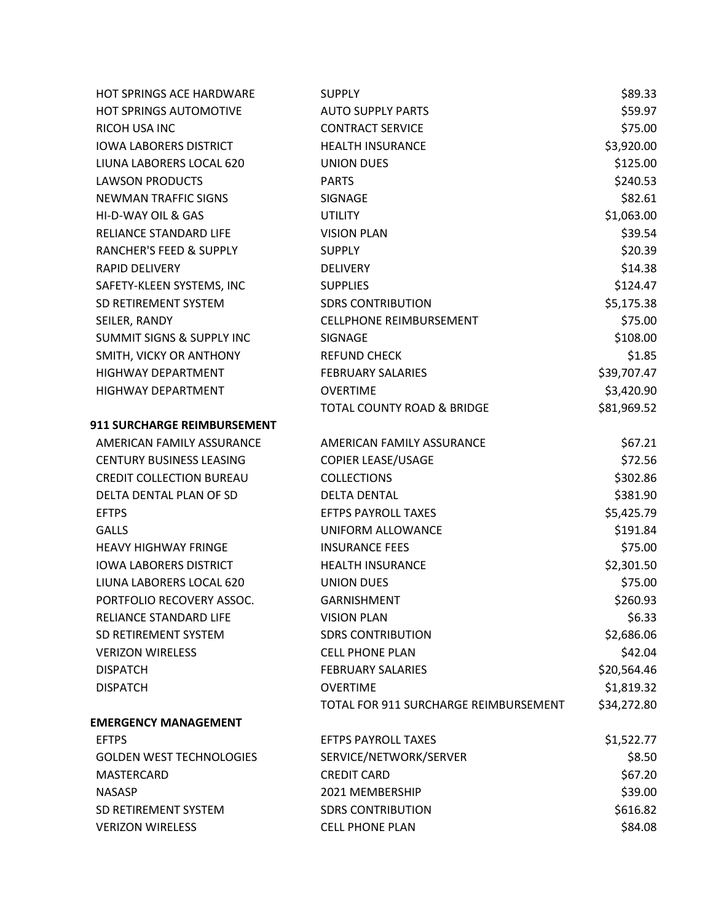| <b>HOT SPRINGS ACE HARDWARE</b>      | <b>SUPPLY</b>                         | \$89.33     |
|--------------------------------------|---------------------------------------|-------------|
| <b>HOT SPRINGS AUTOMOTIVE</b>        | <b>AUTO SUPPLY PARTS</b>              | \$59.97     |
| RICOH USA INC                        | <b>CONTRACT SERVICE</b>               | \$75.00     |
| <b>IOWA LABORERS DISTRICT</b>        | <b>HEALTH INSURANCE</b>               | \$3,920.00  |
| LIUNA LABORERS LOCAL 620             | <b>UNION DUES</b>                     | \$125.00    |
| <b>LAWSON PRODUCTS</b>               | <b>PARTS</b>                          | \$240.53    |
| <b>NEWMAN TRAFFIC SIGNS</b>          | SIGNAGE                               | \$82.61     |
| HI-D-WAY OIL & GAS                   | <b>UTILITY</b>                        | \$1,063.00  |
| RELIANCE STANDARD LIFE               | <b>VISION PLAN</b>                    | \$39.54     |
| <b>RANCHER'S FEED &amp; SUPPLY</b>   | <b>SUPPLY</b>                         | \$20.39     |
| <b>RAPID DELIVERY</b>                | <b>DELIVERY</b>                       | \$14.38     |
| SAFETY-KLEEN SYSTEMS, INC            | <b>SUPPLIES</b>                       | \$124.47    |
| SD RETIREMENT SYSTEM                 | <b>SDRS CONTRIBUTION</b>              | \$5,175.38  |
| SEILER, RANDY                        | <b>CELLPHONE REIMBURSEMENT</b>        | \$75.00     |
| <b>SUMMIT SIGNS &amp; SUPPLY INC</b> | SIGNAGE                               | \$108.00    |
| SMITH, VICKY OR ANTHONY              | <b>REFUND CHECK</b>                   | \$1.85      |
| <b>HIGHWAY DEPARTMENT</b>            | <b>FEBRUARY SALARIES</b>              | \$39,707.47 |
| HIGHWAY DEPARTMENT                   | <b>OVERTIME</b>                       | \$3,420.90  |
|                                      | <b>TOTAL COUNTY ROAD &amp; BRIDGE</b> | \$81,969.52 |
| 911 SURCHARGE REIMBURSEMENT          |                                       |             |
| AMERICAN FAMILY ASSURANCE            | AMERICAN FAMILY ASSURANCE             | \$67.21     |
| <b>CENTURY BUSINESS LEASING</b>      | <b>COPIER LEASE/USAGE</b>             | \$72.56     |
| <b>CREDIT COLLECTION BUREAU</b>      | <b>COLLECTIONS</b>                    | \$302.86    |
| DELTA DENTAL PLAN OF SD              | <b>DELTA DENTAL</b>                   | \$381.90    |
| <b>EFTPS</b>                         | <b>EFTPS PAYROLL TAXES</b>            | \$5,425.79  |
| <b>GALLS</b>                         | UNIFORM ALLOWANCE                     | \$191.84    |
| <b>HEAVY HIGHWAY FRINGE</b>          | <b>INSURANCE FEES</b>                 | \$75.00     |
| <b>IOWA LABORERS DISTRICT</b>        | <b>HEALTH INSURANCE</b>               | \$2,301.50  |
| LIUNA LABORERS LOCAL 620             | <b>UNION DUES</b>                     | \$75.00     |
| PORTFOLIO RECOVERY ASSOC.            | <b>GARNISHMENT</b>                    | \$260.93    |
| RELIANCE STANDARD LIFE               | <b>VISION PLAN</b>                    | \$6.33      |
| SD RETIREMENT SYSTEM                 | <b>SDRS CONTRIBUTION</b>              | \$2,686.06  |
| <b>VERIZON WIRELESS</b>              | <b>CELL PHONE PLAN</b>                | \$42.04     |
| <b>DISPATCH</b>                      | <b>FEBRUARY SALARIES</b>              | \$20,564.46 |
| <b>DISPATCH</b>                      | <b>OVERTIME</b>                       | \$1,819.32  |
|                                      | TOTAL FOR 911 SURCHARGE REIMBURSEMENT | \$34,272.80 |
| <b>EMERGENCY MANAGEMENT</b>          |                                       |             |
| <b>EFTPS</b>                         | <b>EFTPS PAYROLL TAXES</b>            | \$1,522.77  |
| <b>GOLDEN WEST TECHNOLOGIES</b>      | SERVICE/NETWORK/SERVER                | \$8.50      |
| <b>MASTERCARD</b>                    | <b>CREDIT CARD</b>                    | \$67.20     |
| <b>NASASP</b>                        | 2021 MEMBERSHIP                       | \$39.00     |
| SD RETIREMENT SYSTEM                 | <b>SDRS CONTRIBUTION</b>              | \$616.82    |
| <b>VERIZON WIRELESS</b>              | <b>CELL PHONE PLAN</b>                | \$84.08     |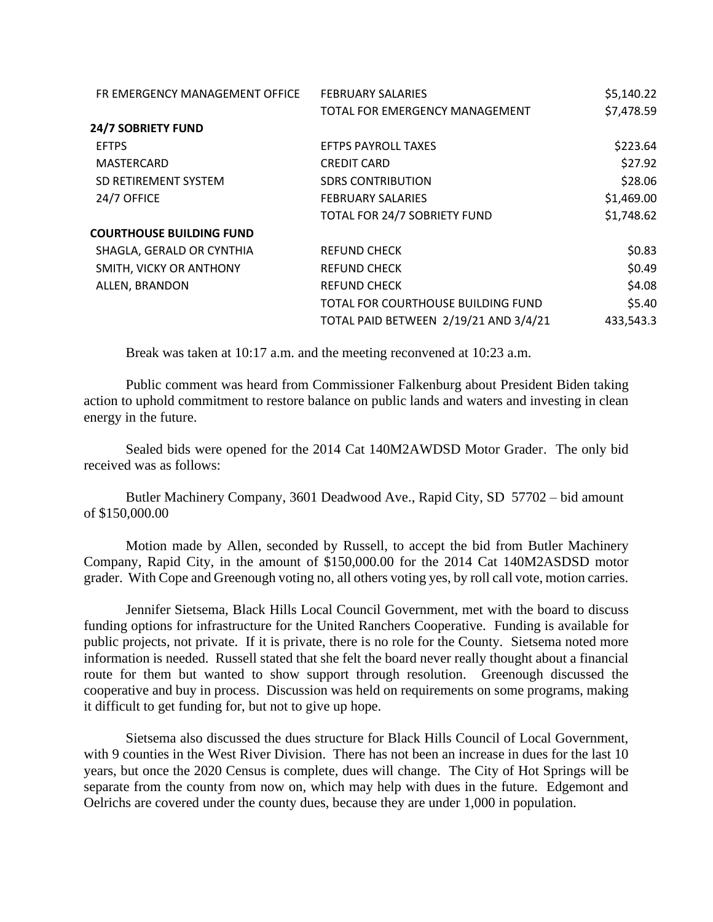| FR EMERGENCY MANAGEMENT OFFICE  | <b>FEBRUARY SALARIES</b>              | \$5,140.22 |
|---------------------------------|---------------------------------------|------------|
|                                 | TOTAL FOR EMERGENCY MANAGEMENT        | \$7,478.59 |
| <b>24/7 SOBRIETY FUND</b>       |                                       |            |
| <b>EFTPS</b>                    | <b>EFTPS PAYROLL TAXES</b>            | \$223.64   |
| <b>MASTERCARD</b>               | <b>CREDIT CARD</b>                    | \$27.92    |
| SD RETIREMENT SYSTEM            | <b>SDRS CONTRIBUTION</b>              | \$28.06    |
| 24/7 OFFICE                     | <b>FEBRUARY SALARIES</b>              | \$1,469.00 |
|                                 | TOTAL FOR 24/7 SOBRIETY FUND          | \$1,748.62 |
| <b>COURTHOUSE BUILDING FUND</b> |                                       |            |
| SHAGLA, GERALD OR CYNTHIA       | <b>REFUND CHECK</b>                   | \$0.83     |
| SMITH, VICKY OR ANTHONY         | <b>REFUND CHECK</b>                   | \$0.49     |
| ALLEN, BRANDON                  | <b>REFUND CHECK</b>                   | \$4.08     |
|                                 | TOTAL FOR COURTHOUSE BUILDING FUND    | \$5.40     |
|                                 | TOTAL PAID BETWEEN 2/19/21 AND 3/4/21 | 433,543.3  |
|                                 |                                       |            |

Break was taken at 10:17 a.m. and the meeting reconvened at 10:23 a.m.

Public comment was heard from Commissioner Falkenburg about President Biden taking action to uphold commitment to restore balance on public lands and waters and investing in clean energy in the future.

Sealed bids were opened for the 2014 Cat 140M2AWDSD Motor Grader. The only bid received was as follows:

Butler Machinery Company, 3601 Deadwood Ave., Rapid City, SD 57702 – bid amount of \$150,000.00

Motion made by Allen, seconded by Russell, to accept the bid from Butler Machinery Company, Rapid City, in the amount of \$150,000.00 for the 2014 Cat 140M2ASDSD motor grader. With Cope and Greenough voting no, all others voting yes, by roll call vote, motion carries.

Jennifer Sietsema, Black Hills Local Council Government, met with the board to discuss funding options for infrastructure for the United Ranchers Cooperative. Funding is available for public projects, not private. If it is private, there is no role for the County. Sietsema noted more information is needed. Russell stated that she felt the board never really thought about a financial route for them but wanted to show support through resolution. Greenough discussed the cooperative and buy in process. Discussion was held on requirements on some programs, making it difficult to get funding for, but not to give up hope.

Sietsema also discussed the dues structure for Black Hills Council of Local Government, with 9 counties in the West River Division. There has not been an increase in dues for the last 10 years, but once the 2020 Census is complete, dues will change. The City of Hot Springs will be separate from the county from now on, which may help with dues in the future. Edgemont and Oelrichs are covered under the county dues, because they are under 1,000 in population.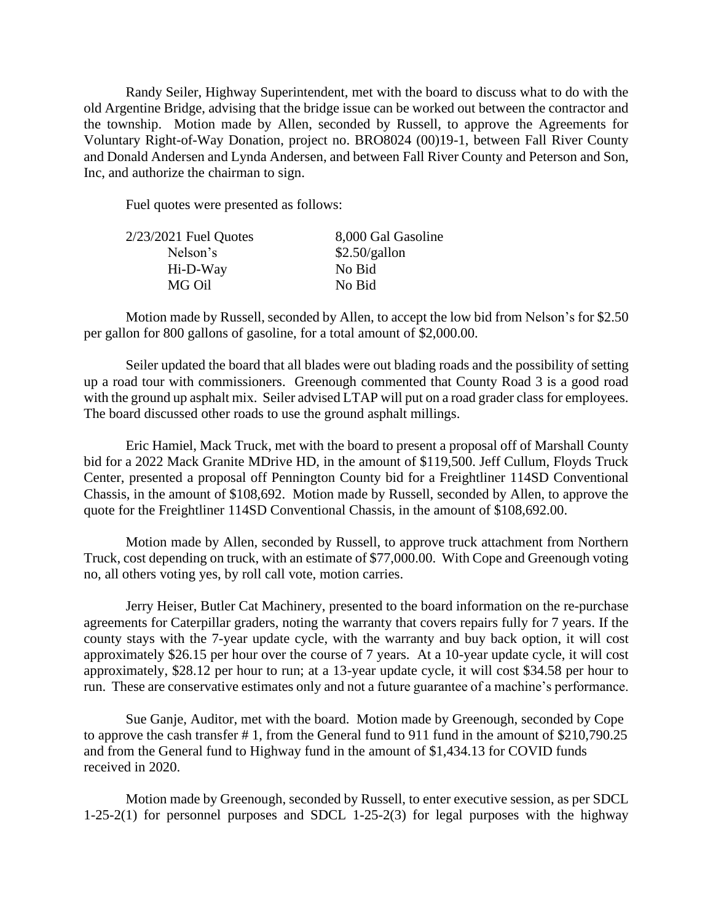Randy Seiler, Highway Superintendent, met with the board to discuss what to do with the old Argentine Bridge, advising that the bridge issue can be worked out between the contractor and the township. Motion made by Allen, seconded by Russell, to approve the Agreements for Voluntary Right-of-Way Donation, project no. BRO8024 (00)19-1, between Fall River County and Donald Andersen and Lynda Andersen, and between Fall River County and Peterson and Son, Inc, and authorize the chairman to sign.

Fuel quotes were presented as follows:

| 2/23/2021 Fuel Quotes | 8,000 Gal Gasoline |
|-----------------------|--------------------|
| Nelson's              | \$2.50/gallon      |
| Hi-D-Way              | No Bid             |
| MG Oil                | No Bid             |
|                       |                    |

Motion made by Russell, seconded by Allen, to accept the low bid from Nelson's for \$2.50 per gallon for 800 gallons of gasoline, for a total amount of \$2,000.00.

Seiler updated the board that all blades were out blading roads and the possibility of setting up a road tour with commissioners. Greenough commented that County Road 3 is a good road with the ground up asphalt mix. Seiler advised LTAP will put on a road grader class for employees. The board discussed other roads to use the ground asphalt millings.

Eric Hamiel, Mack Truck, met with the board to present a proposal off of Marshall County bid for a 2022 Mack Granite MDrive HD, in the amount of \$119,500. Jeff Cullum, Floyds Truck Center, presented a proposal off Pennington County bid for a Freightliner 114SD Conventional Chassis, in the amount of \$108,692. Motion made by Russell, seconded by Allen, to approve the quote for the Freightliner 114SD Conventional Chassis, in the amount of \$108,692.00.

Motion made by Allen, seconded by Russell, to approve truck attachment from Northern Truck, cost depending on truck, with an estimate of \$77,000.00. With Cope and Greenough voting no, all others voting yes, by roll call vote, motion carries.

Jerry Heiser, Butler Cat Machinery, presented to the board information on the re-purchase agreements for Caterpillar graders, noting the warranty that covers repairs fully for 7 years. If the county stays with the 7-year update cycle, with the warranty and buy back option, it will cost approximately \$26.15 per hour over the course of 7 years. At a 10-year update cycle, it will cost approximately, \$28.12 per hour to run; at a 13-year update cycle, it will cost \$34.58 per hour to run. These are conservative estimates only and not a future guarantee of a machine's performance.

Sue Ganje, Auditor, met with the board. Motion made by Greenough, seconded by Cope to approve the cash transfer # 1, from the General fund to 911 fund in the amount of \$210,790.25 and from the General fund to Highway fund in the amount of \$1,434.13 for COVID funds received in 2020.

Motion made by Greenough, seconded by Russell, to enter executive session, as per SDCL 1-25-2(1) for personnel purposes and SDCL 1-25-2(3) for legal purposes with the highway